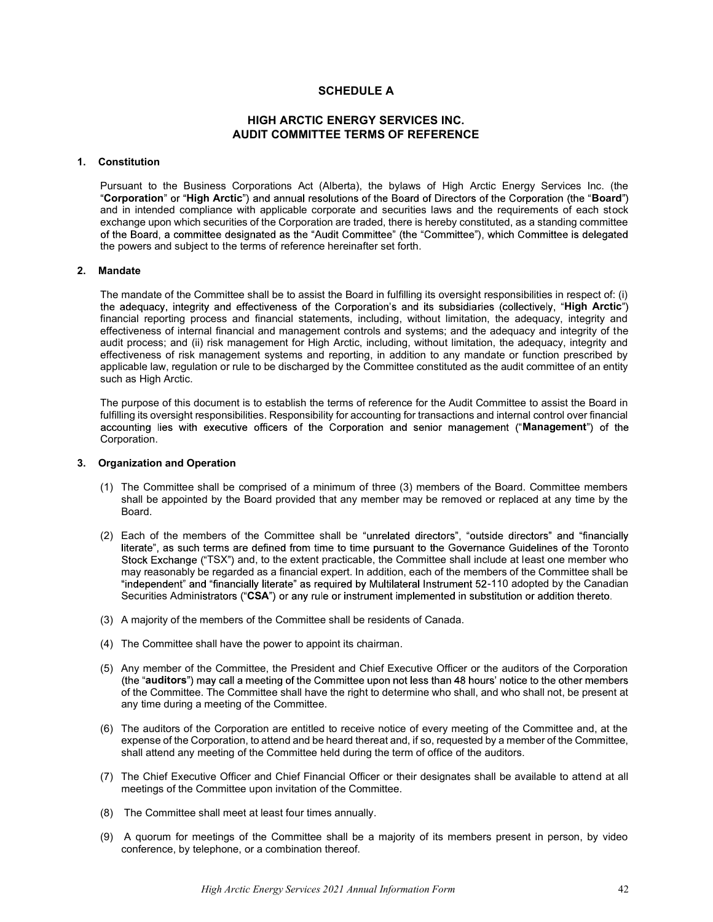# SCHEDULE A

# HIGH ARCTIC ENERGY SERVICES INC. AUDIT COMMITTEE TERMS OF REFERENCE

# 1. Constitution

Pursuant to the Business Corporations Act (Alberta), the bylaws of High Arctic Energy Services Inc. (the "Corporation" or "High Arctic") and annual resolutions of the Board of Directors of the Corporation (the "Board") and in intended compliance with applicable corporate and securities laws and the requirements of each stock exchange upon which securities of the Corporation are traded, there is hereby constituted, as a standing committee<br>of the Board, a committee designated as the "Audit Committee" (the "Committee"), which Committee is delegat the powers and subject to the terms of reference hereinafter set forth.

# 2. Mandate

The mandate of the Committee shall be to assist the Board in fulfilling its oversight responsibilities in respect of: (i) the adequacy, integrity and effectiveness of the Corporation's and its subsidiaries (collectively, "High Arctic") financial reporting process and financial statements, including, without limitation, the adequacy, integrity and effectiveness of internal financial and management controls and systems; and the adequacy and integrity of the audit process; and (ii) risk management for High Arctic, including, without limitation, the adequacy, integrity and effectiveness of risk management systems and reporting, in addition to any mandate or function prescribed by applicable law, regulation or rule to be discharged by the Committee constituted as the audit committee of an entity such as High Arctic.

The purpose of this document is to establish the terms of reference for the Audit Committee to assist the Board in fulfilling its oversight responsibilities. Responsibility for accounting for transactions and internal control over financial accounting lies with executive officers of the Corporation and senior management ("Management") of the Corporation.

### 3. Organization and Operation

- (1) The Committee shall be comprised of a minimum of three (3) members of the Board. Committee members shall be appointed by the Board provided that any member may be removed or replaced at any time by the Board.
- (2) Each of the members of the Committee shall be "unrelated directors", "outside directors" and "financially literate", as such terms are defined from time to time pursuant to the Governance Guidelines of the Toronto Stock Exchange ("TSX") and, to the extent practicable, the Committee shall include at least one member who may reasonably be regarded as a financial expert. In addition, each of the members of the Committee shall be "independent" and "financially literate" as required by Multilateral Instrument 52-110 adopted by the Canadian Securities Administrators ("CSA") or any rule or instrument implemented in substitution or addition thereto.
- (3) A majority of the members of the Committee shall be residents of Canada.
- (4) The Committee shall have the power to appoint its chairman.
- (5) Any member of the Committee, the President and Chief Executive Officer or the auditors of the Corporation (the "auditors") may call a meeting of the Committee upon not less than 48 hours' notice to the other members of the Committee. The Committee shall have the right to determine who shall, and who shall not, be present at any time during a meeting of the Committee.
- (6) The auditors of the Corporation are entitled to receive notice of every meeting of the Committee and, at the expense of the Corporation, to attend and be heard thereat and, if so, requested by a member of the Committee, shall attend any meeting of the Committee held during the term of office of the auditors.
- (7) The Chief Executive Officer and Chief Financial Officer or their designates shall be available to attend at all meetings of the Committee upon invitation of the Committee.
- (8) The Committee shall meet at least four times annually.
- (9) A quorum for meetings of the Committee shall be a majority of its members present in person, by video conference, by telephone, or a combination thereof.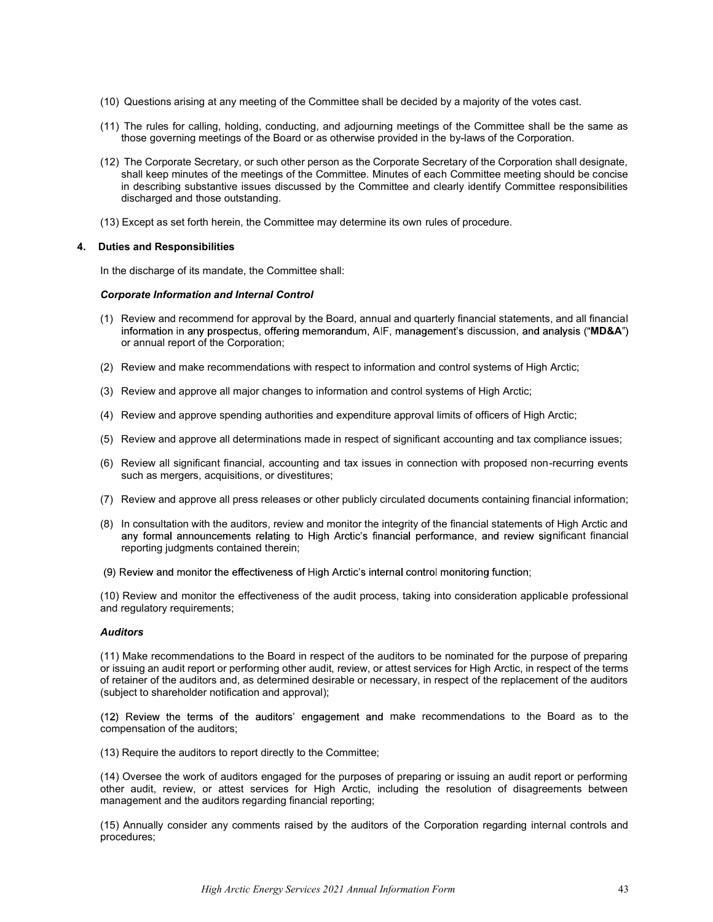- (10) Questions arising at any meeting of the Committee shall be decided by a majority of the votes cast.
- (11) The rules for calling, holding, conducting, and adjourning meetings of the Committee shall be the same as those governing meetings of the Board or as otherwise provided in the by-laws of the Corporation.
- (12) The Corporate Secretary, or such other person as the Corporate Secretary of the Corporation shall designate, shall keep minutes of the meetings of the Committee. Minutes of each Committee meeting should be concise in describing substantive issues discussed by the Committee and clearly identify Committee responsibilities discharged and those outstanding.
- (13) Except as set forth herein, the Committee may determine its own rules of procedure.

#### 4. Duties and Responsibilities

In the discharge of its mandate, the Committee shall:

#### Corporate Information and Internal Control

- (1) Review and recommend for approval by the Board, annual and quarterly financial statements, and all financial information in any prospectus, offering memorandum, AIF, management's discussion, and analysis ("MD&A") or annual report of the Corporation;
- (2) Review and make recommendations with respect to information and control systems of High Arctic;
- (3) Review and approve all major changes to information and control systems of High Arctic;
- (4) Review and approve spending authorities and expenditure approval limits of officers of High Arctic;
- (5) Review and approve all determinations made in respect of significant accounting and tax compliance issues;
- (6) Review all significant financial, accounting and tax issues in connection with proposed non-recurring events such as mergers, acquisitions, or divestitures;
- (7) Review and approve all press releases or other publicly circulated documents containing financial information;
- (8) In consultation with the auditors, review and monitor the integrity of the financial statements of High Arctic and any formal announcements relating to High Arctic's financial performance, and review significant financial reporting judgments contained therein;
- (9) Review and monitor the effectiveness of High Arctic's internal control monitoring function;

(10) Review and monitor the effectiveness of the audit process, taking into consideration applicable professional and regulatory requirements;

#### Auditors

(11) Make recommendations to the Board in respect of the auditors to be nominated for the purpose of preparing or issuing an audit report or performing other audit, review, or attest services for High Arctic, in respect of the terms of retainer of the auditors and, as determined desirable or necessary, in respect of the replacement of the auditors (subject to shareholder notification and approval);

(12) Review the terms of the auditors' engagement and make recommendations to the Board as to the compensation of the auditors;

(13) Require the auditors to report directly to the Committee;

(14) Oversee the work of auditors engaged for the purposes of preparing or issuing an audit report or performing other audit, review, or attest services for High Arctic, including the resolution of disagreements between management and the auditors regarding financial reporting;

(15) Annually consider any comments raised by the auditors of the Corporation regarding internal controls and procedures;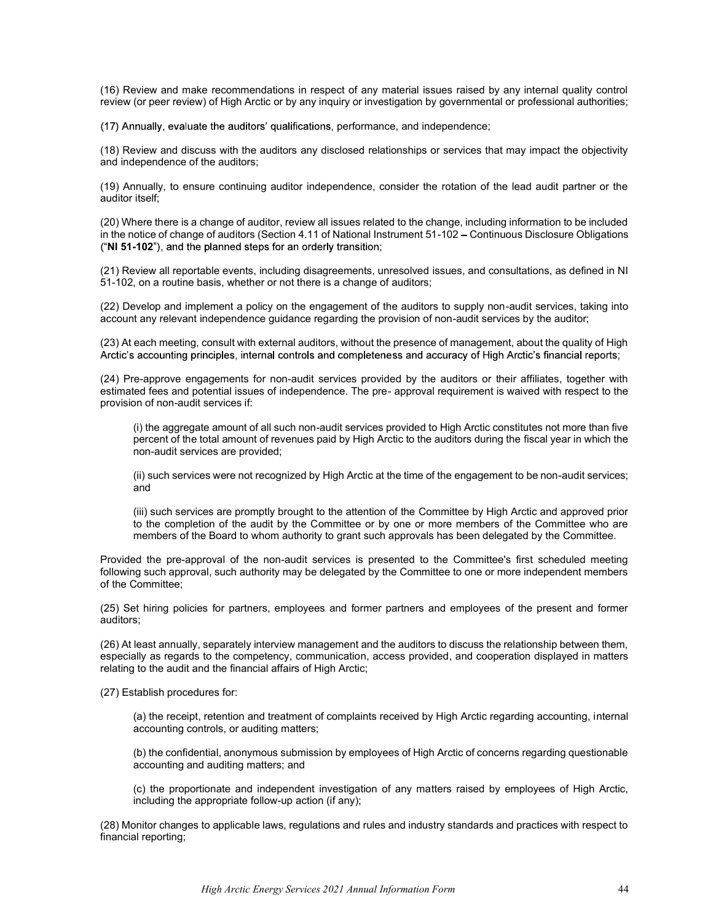(16) Review and make recommendations in respect of any material issues raised by any internal quality control review (or peer review) of High Arctic or by any inquiry or investigation by governmental or professional authorities;

(17) Annually, evaluate the auditors' qualifications, performance, and independence;

(18) Review and discuss with the auditors any disclosed relationships or services that may impact the objectivity and independence of the auditors;

(19) Annually, to ensure continuing auditor independence, consider the rotation of the lead audit partner or the auditor itself;

(20) Where there is a change of auditor, review all issues related to the change, including information to be included in the notice of change of auditors (Section 4.11 of National Instrument 51-102 – Continuous Disclosure Obligations ("NI 51-102"), and the planned steps for an orderly transition;

(21) Review all reportable events, including disagreements, unresolved issues, and consultations, as defined in NI 51-102, on a routine basis, whether or not there is a change of auditors;

(22) Develop and implement a policy on the engagement of the auditors to supply non-audit services, taking into account any relevant independence guidance regarding the provision of non-audit services by the auditor;

(23) At each meeting, consult with external auditors, without the presence of management, about the quality of High<br>Arctic's accounting principles, internal controls and completeness and accuracy of High Arctic's financial

(24) Pre-approve engagements for non-audit services provided by the auditors or their affiliates, together with estimated fees and potential issues of independence. The pre- approval requirement is waived with respect to the provision of non-audit services if:

(i) the aggregate amount of all such non-audit services provided to High Arctic constitutes not more than five percent of the total amount of revenues paid by High Arctic to the auditors during the fiscal year in which the non-audit services are provided;

(ii) such services were not recognized by High Arctic at the time of the engagement to be non-audit services; and

(iii) such services are promptly brought to the attention of the Committee by High Arctic and approved prior to the completion of the audit by the Committee or by one or more members of the Committee who are members of the Board to whom authority to grant such approvals has been delegated by the Committee.

Provided the pre-approval of the non-audit services is presented to the Committee's first scheduled meeting following such approval, such authority may be delegated by the Committee to one or more independent members of the Committee;

(25) Set hiring policies for partners, employees and former partners and employees of the present and former auditors;

(26) At least annually, separately interview management and the auditors to discuss the relationship between them, especially as regards to the competency, communication, access provided, and cooperation displayed in matters relating to the audit and the financial affairs of High Arctic;

(27) Establish procedures for:

(a) the receipt, retention and treatment of complaints received by High Arctic regarding accounting, internal accounting controls, or auditing matters;

(b) the confidential, anonymous submission by employees of High Arctic of concerns regarding questionable accounting and auditing matters; and

(c) the proportionate and independent investigation of any matters raised by employees of High Arctic, including the appropriate follow-up action (if any);

(28) Monitor changes to applicable laws, regulations and rules and industry standards and practices with respect to financial reporting;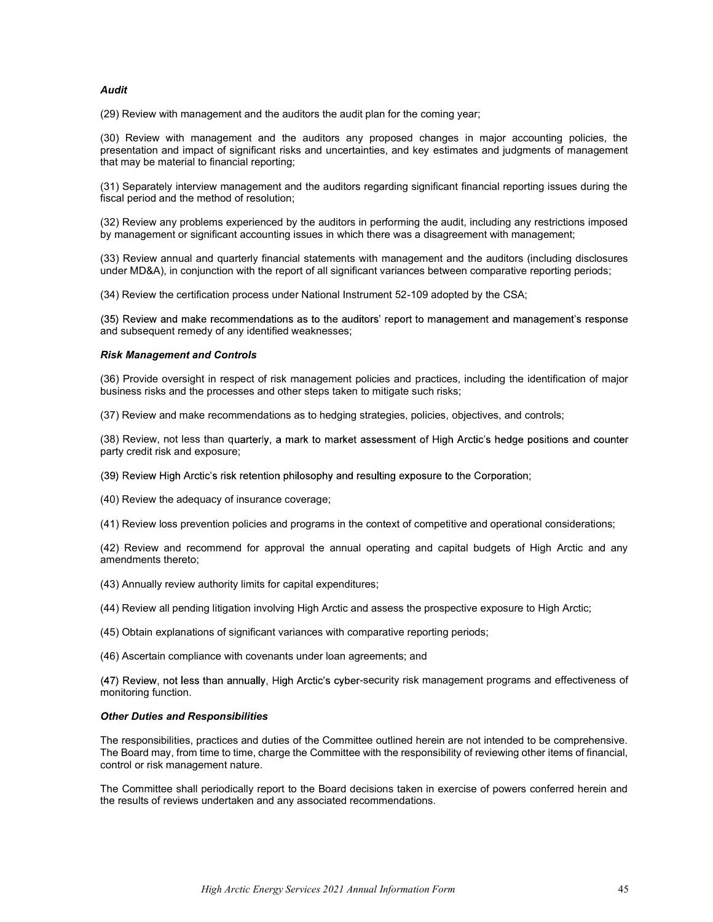# Audit

(29) Review with management and the auditors the audit plan for the coming year;

(30) Review with management and the auditors any proposed changes in major accounting policies, the presentation and impact of significant risks and uncertainties, and key estimates and judgments of management that may be material to financial reporting;

(31) Separately interview management and the auditors regarding significant financial reporting issues during the fiscal period and the method of resolution;

(32) Review any problems experienced by the auditors in performing the audit, including any restrictions imposed by management or significant accounting issues in which there was a disagreement with management;

(33) Review annual and quarterly financial statements with management and the auditors (including disclosures under MD&A), in conjunction with the report of all significant variances between comparative reporting periods;

(34) Review the certification process under National Instrument 52-109 adopted by the CSA;

(35) Review and make recommendations as to the auditors' report to management and management's response and subsequent remedy of any identified weaknesses;

#### Risk Management and Controls

(36) Provide oversight in respect of risk management policies and practices, including the identification of major business risks and the processes and other steps taken to mitigate such risks;

(37) Review and make recommendations as to hedging strategies, policies, objectives, and controls;

(38) Review, not less than quarterly, a mark to market assessment of High Arctic's hedge positions and counter party credit risk and exposure;

- (39) Review High Arctic's risk retention philosophy and resulting exposure to the Corporation;
- (40) Review the adequacy of insurance coverage;

(41) Review loss prevention policies and programs in the context of competitive and operational considerations;

(42) Review and recommend for approval the annual operating and capital budgets of High Arctic and any amendments thereto;

- (43) Annually review authority limits for capital expenditures;
- (44) Review all pending litigation involving High Arctic and assess the prospective exposure to High Arctic;
- (45) Obtain explanations of significant variances with comparative reporting periods;
- (46) Ascertain compliance with covenants under loan agreements; and

(47) Review, not less than annually, High Arctic's cyber-security risk management programs and effectiveness of monitoring function.

#### Other Duties and Responsibilities

The responsibilities, practices and duties of the Committee outlined herein are not intended to be comprehensive. The Board may, from time to time, charge the Committee with the responsibility of reviewing other items of financial, control or risk management nature.

The Committee shall periodically report to the Board decisions taken in exercise of powers conferred herein and the results of reviews undertaken and any associated recommendations.